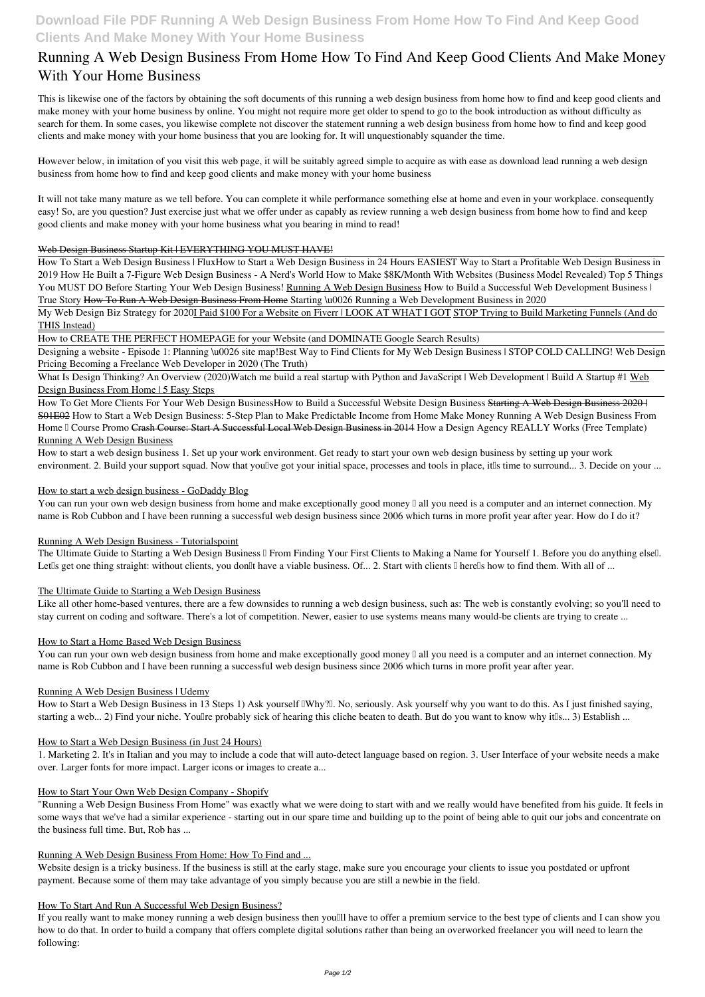### **Download File PDF Running A Web Design Business From Home How To Find And Keep Good Clients And Make Money With Your Home Business**

# **Running A Web Design Business From Home How To Find And Keep Good Clients And Make Money With Your Home Business**

This is likewise one of the factors by obtaining the soft documents of this **running a web design business from home how to find and keep good clients and make money with your home business** by online. You might not require more get older to spend to go to the book introduction as without difficulty as search for them. In some cases, you likewise complete not discover the statement running a web design business from home how to find and keep good clients and make money with your home business that you are looking for. It will unquestionably squander the time.

However below, in imitation of you visit this web page, it will be suitably agreed simple to acquire as with ease as download lead running a web design business from home how to find and keep good clients and make money with your home business

My Web Design Biz Strategy for 2020I Paid \$100 For a Website on Fiverr | LOOK AT WHAT I GOT STOP Trying to Build Marketing Funnels (And do THIS Instead)

It will not take many mature as we tell before. You can complete it while performance something else at home and even in your workplace. consequently easy! So, are you question? Just exercise just what we offer under as capably as review **running a web design business from home how to find and keep good clients and make money with your home business** what you bearing in mind to read!

#### Web Design Business Startup Kit | EVERYTHING YOU MUST HAVE!

How to start a web design business 1. Set up your work environment. Get ready to start your own web design business by setting up your work environment. 2. Build your support squad. Now that you'lve got your initial space, processes and tools in place, it us time to surround... 3. Decide on your ...

How To Start a Web Design Business | Flux**How to Start a Web Design Business in 24 Hours EASIEST Way to Start a Profitable Web Design Business in 2019** *How He Built a 7-Figure Web Design Business - A Nerd's World* How to Make \$8K/Month With Websites (Business Model Revealed) *Top 5 Things You MUST DO Before Starting Your Web Design Business!* Running A Web Design Business *How to Build a Successful Web Development Business | True Story* How To Run A Web Design Business From Home *Starting \u0026 Running a Web Development Business in 2020*

You can run your own web design business from home and make exceptionally good money  $\Box$  all you need is a computer and an internet connection. My name is Rob Cubbon and I have been running a successful web design business since 2006 which turns in more profit year after year. How do I do it?

How to CREATE THE PERFECT HOMEPAGE for your Website (and DOMINATE Google Search Results)

Designing a website - Episode 1: Planning \u0026 site map!*Best Way to Find Clients for My Web Design Business | STOP COLD CALLING! Web Design Pricing Becoming a Freelance Web Developer in 2020 (The Truth)*

You can run your own web design business from home and make exceptionally good money  $\Box$  all you need is a computer and an internet connection. My name is Rob Cubbon and I have been running a successful web design business since 2006 which turns in more profit year after year.

What Is Design Thinking? An Overview (2020)*Watch me build a real startup with Python and JavaScript | Web Development | Build A Startup #1* Web Design Business From Home | 5 Easy Steps

How To Get More Clients For Your Web Design Business*How to Build a Successful Website Design Business* Starting A Web Design Business 2020 | S01E02 *How to Start a Web Design Business: 5-Step Plan to Make Predictable Income from Home* Make Money Running A Web Design Business From Home <sup>[]</sup> Course Promo Crash Course: Start A Successful Local Web Design Business in 2014 How a Design Agency REALLY Works (Free Template) Running A Web Design Business

#### How to start a web design business - GoDaddy Blog

#### Running A Web Design Business - Tutorialspoint

The Ultimate Guide to Starting a Web Design Business II From Finding Your First Clients to Making a Name for Yourself 1. Before you do anything elsell. Let<sup>[]</sup>s get one thing straight: without clients, you don<sup>[]</sup>t have a viable business. Of... 2. Start with clients  $\Box$  here $\Box$ s how to find them. With all of ...

#### The Ultimate Guide to Starting a Web Design Business

Like all other home-based ventures, there are a few downsides to running a web design business, such as: The web is constantly evolving; so you'll need to stay current on coding and software. There's a lot of competition. Newer, easier to use systems means many would-be clients are trying to create ...

#### How to Start a Home Based Web Design Business

#### Running A Web Design Business | Udemy

How to Start a Web Design Business in 13 Steps 1) Ask yourself UWhy?<sup>[1]</sup>. No, seriously. Ask yourself why you want to do this. As I just finished saying, starting a web... 2) Find your niche. Youllre probably sick of hearing this cliche beaten to death. But do you want to know why itlls... 3) Establish ...

#### How to Start a Web Design Business (in Just 24 Hours)

1. Marketing 2. It's in Italian and you may to include a code that will auto-detect language based on region. 3. User Interface of your website needs a make over. Larger fonts for more impact. Larger icons or images to create a...

#### How to Start Your Own Web Design Company - Shopify

"Running a Web Design Business From Home" was exactly what we were doing to start with and we really would have benefited from his guide. It feels in some ways that we've had a similar experience - starting out in our spare time and building up to the point of being able to quit our jobs and concentrate on the business full time. But, Rob has ...

#### Running A Web Design Business From Home: How To Find and ...

Website design is a tricky business. If the business is still at the early stage, make sure you encourage your clients to issue you postdated or upfront payment. Because some of them may take advantage of you simply because you are still a newbie in the field.

#### How To Start And Run A Successful Web Design Business?

If you really want to make money running a web design business then you'll have to offer a premium service to the best type of clients and I can show you how to do that. In order to build a company that offers complete digital solutions rather than being an overworked freelancer you will need to learn the following: